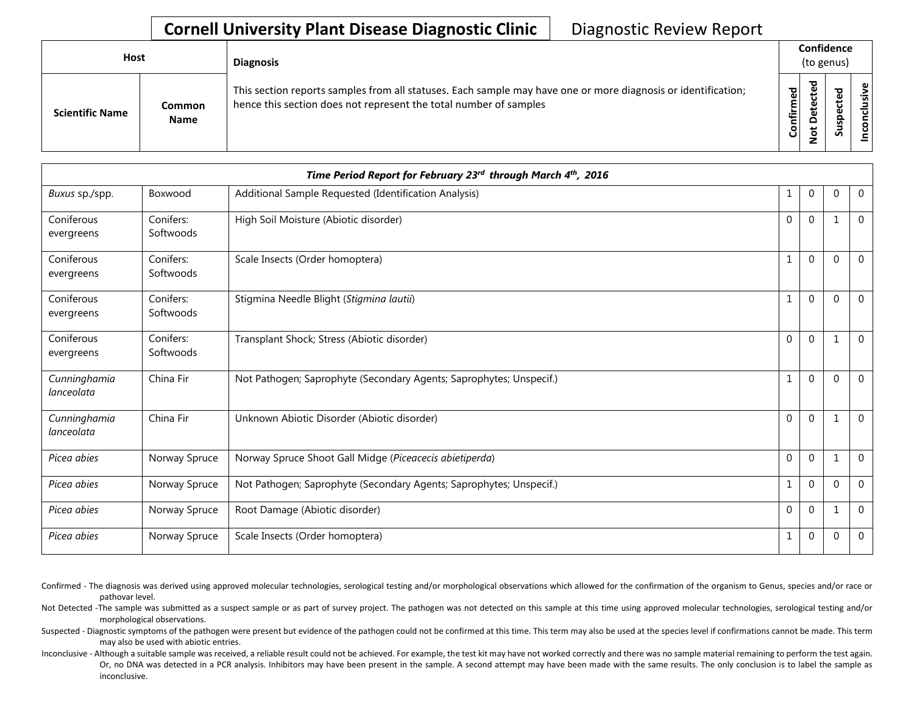## **Cornell University Plant Disease Diagnostic Clinic** | Diagnostic Review Report

| Host                   |                              | <b>Diagnosis</b>                                                                                                                                                                   |           | Confidence<br>(to genus) |        |                   |  |  |
|------------------------|------------------------------|------------------------------------------------------------------------------------------------------------------------------------------------------------------------------------|-----------|--------------------------|--------|-------------------|--|--|
| <b>Scientific Name</b> | <b>Common</b><br><b>Name</b> | This section reports samples from all statuses. Each sample may have one or more diagnosis or identification;<br>hence this section does not represent the total number of samples | Confirmed | ᇃ<br>$\Omega$            | 5<br>ب | usive<br>ಕ<br>CON |  |  |

| Time Period Report for February 23rd through March 4th, 2016 |                        |                                                                     |              |                |             |                |  |
|--------------------------------------------------------------|------------------------|---------------------------------------------------------------------|--------------|----------------|-------------|----------------|--|
| Buxus sp./spp.                                               | Boxwood                | Additional Sample Requested (Identification Analysis)               | 1            | $\overline{0}$ | $\mathbf 0$ | $\mathbf{0}$   |  |
| Coniferous<br>evergreens                                     | Conifers:<br>Softwoods | High Soil Moisture (Abiotic disorder)                               | $\mathbf{0}$ | $\overline{0}$ |             | $\overline{0}$ |  |
| Coniferous<br>evergreens                                     | Conifers:<br>Softwoods | Scale Insects (Order homoptera)                                     | 1            | $\mathbf{0}$   | $\Omega$    | $\mathbf{0}$   |  |
| Coniferous<br>evergreens                                     | Conifers:<br>Softwoods | Stigmina Needle Blight (Stigmina lautii)                            | $\mathbf{1}$ | $\Omega$       | $\Omega$    | $\overline{0}$ |  |
| Coniferous<br>evergreens                                     | Conifers:<br>Softwoods | Transplant Shock; Stress (Abiotic disorder)                         | $\mathbf{0}$ | $\mathbf{0}$   |             | $\mathbf 0$    |  |
| Cunninghamia<br>lanceolata                                   | China Fir              | Not Pathogen; Saprophyte (Secondary Agents; Saprophytes; Unspecif.) | $\mathbf{1}$ | $\Omega$       | $\Omega$    | $\mathbf{0}$   |  |
| Cunninghamia<br>lanceolata                                   | China Fir              | Unknown Abiotic Disorder (Abiotic disorder)                         | $\mathbf{0}$ | $\mathbf 0$    |             | $\mathbf 0$    |  |
| Picea abies                                                  | Norway Spruce          | Norway Spruce Shoot Gall Midge (Piceacecis abietiperda)             | $\mathbf{0}$ | $\mathbf 0$    |             | $\Omega$       |  |
| Picea abies                                                  | Norway Spruce          | Not Pathogen; Saprophyte (Secondary Agents; Saprophytes; Unspecif.) | 1            | $\mathbf 0$    | $\Omega$    | $\mathbf{0}$   |  |
| Picea abies                                                  | Norway Spruce          | Root Damage (Abiotic disorder)                                      | $\mathbf{0}$ | $\mathbf 0$    |             | $\overline{0}$ |  |
| Picea abies                                                  | Norway Spruce          | Scale Insects (Order homoptera)                                     | 1            | $\mathbf 0$    | $\Omega$    | $\mathbf{0}$   |  |

Confirmed - The diagnosis was derived using approved molecular technologies, serological testing and/or morphological observations which allowed for the confirmation of the organism to Genus, species and/or race or pathovar level.

Not Detected -The sample was submitted as a suspect sample or as part of survey project. The pathogen was not detected on this sample at this time using approved molecular technologies, serological testing and/or morphological observations.

Suspected - Diagnostic symptoms of the pathogen were present but evidence of the pathogen could not be confirmed at this time. This term may also be used at the species level if confirmations cannot be made. This term may also be used with abiotic entries.

Inconclusive - Although a suitable sample was received, a reliable result could not be achieved. For example, the test kit may have not worked correctly and there was no sample material remaining to perform the test again. Or, no DNA was detected in a PCR analysis. Inhibitors may have been present in the sample. A second attempt may have been made with the same results. The only conclusion is to label the sample as inconclusive.